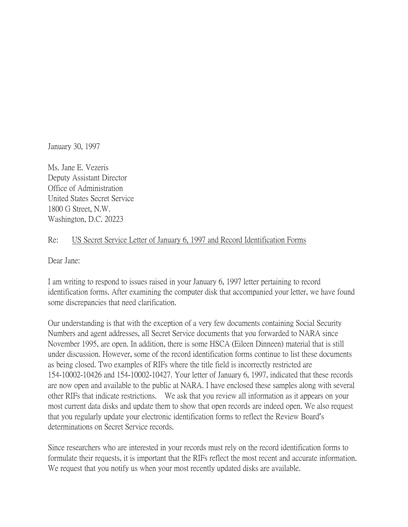January 30, 1997

Ms. Jane E. Vezeris Deputy Assistant Director Office of Administration United States Secret Service 1800 G Street, N.W. Washington, D.C. 20223

## Re: US Secret Service Letter of January 6, 1997 and Record Identification Forms

Dear Jane:

I am writing to respond to issues raised in your January 6, 1997 letter pertaining to record identification forms. After examining the computer disk that accompanied your letter, we have found some discrepancies that need clarification.

Our understanding is that with the exception of a very few documents containing Social Security Numbers and agent addresses, all Secret Service documents that you forwarded to NARA since November 1995, are open. In addition, there is some HSCA (Eileen Dinneen) material that is still under discussion. However, some of the record identification forms continue to list these documents as being closed. Two examples of RIFs where the title field is incorrectly restricted are 154-10002-10426 and 154-10002-10427. Your letter of January 6, 1997, indicated that these records are now open and available to the public at NARA. I have enclosed these samples along with several other RIFs that indicate restrictions. We ask that you review all information as it appears on your most current data disks and update them to show that open records are indeed open. We also request that you regularly update your electronic identification forms to reflect the Review Board's determinations on Secret Service records.

Since researchers who are interested in your records must rely on the record identification forms to formulate their requests, it is important that the RIFs reflect the most recent and accurate information. We request that you notify us when your most recently updated disks are available.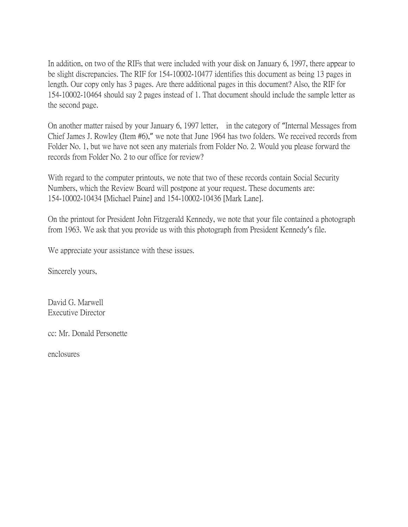In addition, on two of the RIFs that were included with your disk on January 6, 1997, there appear to be slight discrepancies. The RIF for 154-10002-10477 identifies this document as being 13 pages in length. Our copy only has 3 pages. Are there additional pages in this document? Also, the RIF for 154-10002-10464 should say 2 pages instead of 1. That document should include the sample letter as the second page.

On another matter raised by your January 6, 1997 letter, in the category of "Internal Messages from Chief James J. Rowley (Item #6)," we note that June 1964 has two folders. We received records from Folder No. 1, but we have not seen any materials from Folder No. 2. Would you please forward the records from Folder No. 2 to our office for review?

With regard to the computer printouts, we note that two of these records contain Social Security Numbers, which the Review Board will postpone at your request. These documents are: 154-10002-10434 [Michael Paine] and 154-10002-10436 [Mark Lane].

On the printout for President John Fitzgerald Kennedy, we note that your file contained a photograph from 1963. We ask that you provide us with this photograph from President Kennedy's file.

We appreciate your assistance with these issues.

Sincerely yours,

David G. Marwell Executive Director

cc: Mr. Donald Personette

enclosures